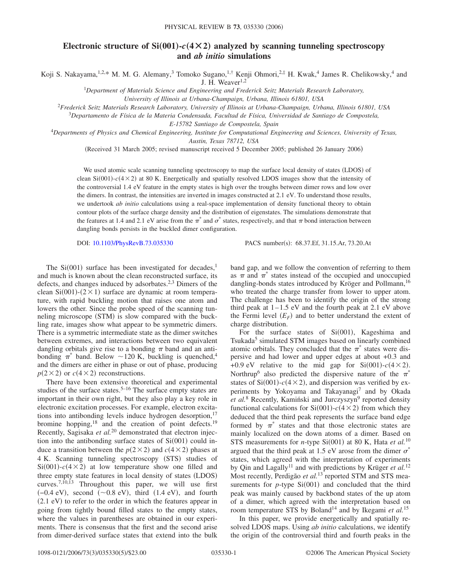## **Electronic structure of Si(001)-** $c$ **(4×2) analyzed by scanning tunneling spectroscopy and** *ab initio* **simulations**

Koji S. Nakayama,<sup>1,2,\*</sup> M. M. G. Alemany,<sup>3</sup> Tomoko Sugano,<sup>1,†</sup> Kenji Ohmori,<sup>2,‡</sup> H. Kwak,<sup>4</sup> James R. Chelikowsky,<sup>4</sup> and

J. H. Weaver $1,2$ 

1 *Department of Materials Science and Engineering and Frederick Seitz Materials Research Laboratory,*

*University of Illinois at Urbana-Champaign, Urbana, Illinois 61801, USA*

<sup>2</sup>*Frederick Seitz Materials Research Laboratory, University of Illinois at Urbana-Champaign, Urbana, Illinois 61801, USA*

<sup>3</sup>*Departamento de Física de la Materia Condensada, Facultad de Física, Universidad de Santiago de Compostela,*

*E-15782 Santiago de Compostela, Spain*

4 *Departments of Physics and Chemical Engineering, Institute for Computational Engineering and Sciences, University of Texas, Austin, Texas 78712, USA*

(Received 31 March 2005; revised manuscript received 5 December 2005; published 26 January 2006)

We used atomic scale scanning tunneling spectroscopy to map the surface local density of states (LDOS) of clean  $Si(001) - c(4 \times 2)$  at 80 K. Energetically and spatially resolved LDOS images show that the intensity of the controversial 1.4 eV feature in the empty states is high over the troughs between dimer rows and low over the dimers. In contrast, the intensities are inverted in images constructed at 2.1 eV. To understand those results, we undertook *ab initio* calculations using a real-space implementation of density functional theory to obtain contour plots of the surface charge density and the distribution of eigenstates. The simulations demonstrate that the features at 1.4 and 2.1 eV arise from the  $\pi^*$  and  $\sigma^*$  states, respectively, and that  $\pi$  bond interaction between dangling bonds persists in the buckled dimer configuration.

DOI: [10.1103/PhysRevB.73.035330](http://dx.doi.org/10.1103/PhysRevB.73.035330)

PACS number(s): 68.37.Ef, 31.15.Ar, 73.20.At

The  $Si(001)$  surface has been investigated for decades,<sup>1</sup> and much is known about the clean reconstructed surface, its defects, and changes induced by adsorbates.<sup>2,3</sup> Dimers of the clean Si $(001)$ - $(2 \times 1)$  surface are dynamic at room temperature, with rapid buckling motion that raises one atom and lowers the other. Since the probe speed of the scanning tunneling microscope (STM) is slow compared with the buckling rate, images show what appear to be symmetric dimers. There is a symmetric intermediate state as the dimer switches between extremes, and interactions between two equivalent dangling orbitals give rise to a bonding  $\pi$  band and an antibonding  $\pi^*$  band. Below ~120 K, buckling is quenched,<sup>4</sup> and the dimers are either in phase or out of phase, producing  $p(2 \times 2)$  or  $c(4 \times 2)$  reconstructions.

There have been extensive theoretical and experimental studies of the surface states.<sup>5–16</sup> The surface empty states are important in their own right, but they also play a key role in electronic excitation processes. For example, electron excitations into antibonding levels induce hydrogen desorption, $17$ bromine hopping, $^{18}$  and the creation of point defects.<sup>19</sup> Recently, Sagisaka *et al.*<sup>20</sup> demonstrated that electron injection into the antibonding surface states of  $Si(001)$  could induce a transition between the  $p(2 \times 2)$  and  $c(4 \times 2)$  phases at 4 K. Scanning tunneling spectroscopy (STS) studies of  $Si(001) - c(4 \times 2)$  at low temperature show one filled and three empty state features in local density of states (LDOS) curves.<sup>7,10,13</sup> Throughout this paper, we will use first  $(-0.4 \text{ eV})$ , second  $(\sim 0.8 \text{ eV})$ , third  $(1.4 \text{ eV})$ , and fourth (2.1 eV) to refer to the order in which the features appear in going from tightly bound filled states to the empty states, where the values in parentheses are obtained in our experiments. There is consensus that the first and the second arise from dimer-derived surface states that extend into the bulk

band gap, and we follow the convention of referring to them as  $\pi$  and  $\pi^*$  states instead of the occupied and unoccupied dangling-bonds states introduced by Kröger and Pollmann,<sup>16</sup> who treated the charge transfer from lower to upper atom. The challenge has been to identify the origin of the strong third peak at  $1-1.5$  eV and the fourth peak at  $2.1$  eV above the Fermi level  $(E_F)$  and to better understand the extent of charge distribution.

For the surface states of  $Si(001)$ , Kageshima and Tsukada<sup>5</sup> simulated STM images based on linearly combined atomic orbitals. They concluded that the  $\pi^*$  states were dispersive and had lower and upper edges at about +0.3 and +0.9 eV relative to the mid gap for  $Si(001) - c(4 \times 2)$ . Northrup<sup>6</sup> also predicted the dispersive nature of the  $\pi^*$ states of  $Si(001) - c(4 \times 2)$ , and dispersion was verified by experiments by Yokoyama and Takayanagi<sup>7</sup> and by Okada *et al.*<sup>8</sup> Recently, Kamiński and Jurczyszyn<sup>9</sup> reported density functional calculations for  $Si(001) - c(4 \times 2)$  from which they deduced that the third peak represents the surface band edge formed by  $\pi^*$  states and that those electronic states are mainly localized on the down atoms of a dimer. Based on STS measurements for *n*-type Si(001) at 80 K, Hata *et al.*<sup>10</sup> argued that the third peak at 1.5 eV arose from the dimer  $\sigma^*$ states, which agreed with the interpretation of experiments by Qin and Lagally<sup>11</sup> and with predictions by Krüger *et al.*<sup>12</sup> Most recently, Perdigão *et al.*<sup>13</sup> reported STM and STS measurements for  $p$ -type  $Si(001)$  and concluded that the third peak was mainly caused by backbond states of the up atom of a dimer, which agreed with the interpretation based on room temperature STS by Boland<sup>14</sup> and by Ikegami *et al.*<sup>15</sup>

In this paper, we provide energetically and spatially resolved LDOS maps. Using *ab initio* calculations, we identify the origin of the controversial third and fourth peaks in the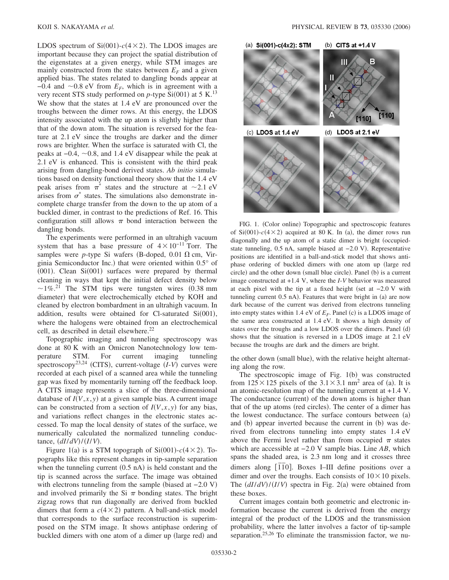LDOS spectrum of  $Si(001) - c(4 \times 2)$ . The LDOS images are important because they can project the spatial distribution of the eigenstates at a given energy, while STM images are mainly constructed from the states between  $E_F$  and a given applied bias. The states related to dangling bonds appear at  $-0.4$  and  $\sim 0.8$  eV from  $E_F$ , which is in agreement with a very recent STS study performed on  $p$ -type  $Si(001)$  at 5 K.<sup>13</sup> We show that the states at 1.4 eV are pronounced over the troughs between the dimer rows. At this energy, the LDOS intensity associated with the up atom is slightly higher than that of the down atom. The situation is reversed for the feature at 2.1 eV since the troughs are darker and the dimer rows are brighter. When the surface is saturated with Cl, the peaks at  $-0.4$ ,  $\sim 0.8$ , and 1.4 eV disappear while the peak at 2.1 eV is enhanced. This is consistent with the third peak arising from dangling-bond derived states. *Ab initio* simulations based on density functional theory show that the 1.4 eV peak arises from  $\pi^*$  states and the structure at  $\sim$ 2.1 eV arises from  $\sigma^*$  states. The simulations also demonstrate incomplete charge transfer from the down to the up atom of a buckled dimer, in contrast to the predictions of Ref. 16. This configuration still allows  $\pi$  bond interaction between the dangling bonds.

The experiments were performed in an ultrahigh vacuum system that has a base pressure of  $4 \times 10^{-11}$  Torr. The samples were *p*-type Si wafers (B-doped, 0.01  $\Omega$  cm, Virginia Semiconductor Inc.) that were oriented within 0.5° of  $(001)$ . Clean Si $(001)$  surfaces were prepared by thermal cleaning in ways that kept the initial defect density below  $\sim$ 1%<sup>21</sup> The STM tips were tungsten wires (0.38 mm diameter) that were electrochemically etched by KOH and cleaned by electron bombardment in an ultrahigh vacuum. In addition, results were obtained for Cl-saturated  $Si(001)$ , where the halogens were obtained from an electrochemical cell, as described in detail elsewhere.<sup>22</sup>

Topographic imaging and tunneling spectroscopy was done at 80 K with an Omicron Nanotechnology low temperature STM. For current imaging tunneling spectroscopy<sup>23,24</sup> (CITS), current-voltage (*I-V*) curves were recorded at each pixel of a scanned area while the tunneling gap was fixed by momentarily turning off the feedback loop. A CITS image represents a slice of the three-dimensional database of  $I(V, x, y)$  at a given sample bias. A current image can be constructed from a section of  $I(V, x, y)$  for any bias, and variations reflect changes in the electronic states accessed. To map the local density of states of the surface, we numerically calculated the normalized tunneling conductance,  $(dI/dV)/(I/V)$ .

Figure 1(a) is a STM topograph of  $Si(001) - c(4 \times 2)$ . Topographs like this represent changes in tip-sample separation when the tunneling current  $(0.5 \text{ nA})$  is held constant and the tip is scanned across the surface. The image was obtained with electrons tunneling from the sample (biased at -2.0 V) and involved primarily the Si  $\pi$  bonding states. The bright zigzag rows that run diagonally are derived from buckled dimers that form a  $c(4 \times 2)$  pattern. A ball-and-stick model that corresponds to the surface reconstruction is superimposed on the STM image. It shows antiphase ordering of buckled dimers with one atom of a dimer up (large red) and



FIG. 1. (Color online) Topographic and spectroscopic features of  $Si(001) - c(4 \times 2)$  acquired at 80 K. In (a), the dimer rows run diagonally and the up atom of a static dimer is bright (occupiedstate tunneling, 0.5 nA, sample biased at -2.0 V). Representative positions are identified in a ball-and-stick model that shows antiphase ordering of buckled dimers with one atom up large red circle) and the other down (small blue circle). Panel (b) is a current image constructed at +1.4 V, where the *I*-*V* behavior was measured at each pixel with the tip at a fixed height (set at  $-2.0$  V with tunneling current 0.5 nA). Features that were bright in (a) are now dark because of the current was derived from electrons tunneling into empty states within 1.4 eV of  $E_F$ . Panel (c) is a LDOS image of the same area constructed at 1.4 eV. It shows a high density of states over the troughs and a low LDOS over the dimers. Panel (d) shows that the situation is reversed in a LDOS image at 2.1 eV because the troughs are dark and the dimers are bright.

the other down (small blue), with the relative height alternating along the row.

The spectroscopic image of Fig.  $1(b)$  was constructed from  $125 \times 125$  pixels of the  $3.1 \times 3.1$  nm<sup>2</sup> area of (a). It is an atomic-resolution map of the tunneling current at +1.4 V. The conductance (current) of the down atoms is higher than that of the up atoms (red circles). The center of a dimer has the lowest conductance. The surface contours between (a) and (b) appear inverted because the current in (b) was derived from electrons tunneling into empty states 1.4 eV above the Fermi level rather than from occupied  $\pi$  states which are accessible at −2.0 V sample bias. Line *AB*, which spans the shaded area, is 2.3 nm long and it crosses three dimers along [1<sup>1</sup><sup>0</sup>]. Boxes I–III define positions over a dimer and over the troughs. Each consists of  $10 \times 10$  pixels. The  $\left(\frac{dI}{dV}\right) / \left(\frac{I}{V}\right)$  spectra in Fig. 2(a) were obtained from these boxes.

Current images contain both geometric and electronic information because the current is derived from the energy integral of the product of the LDOS and the transmission probability, where the latter involves a factor of tip-sample separation.<sup>25,26</sup> To eliminate the transmission factor, we nu-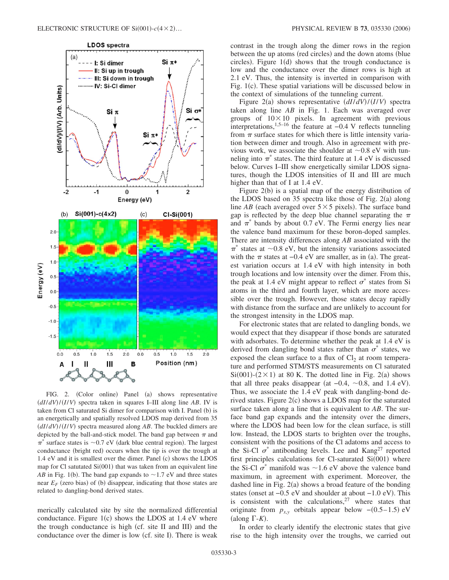

FIG. 2. (Color online) Panel (a) shows representative  $\frac{dI}{dV}$ / $\frac{I}{V}$  spectra taken in squares I–III along line *AB*. IV is taken from Cl saturated Si dimer for comparison with I. Panel (b) is an energetically and spatially resolved LDOS map derived from 35  $\frac{dI}{dV}$ / $\frac{I}{V}$  spectra measured along *AB*. The buckled dimers are depicted by the ball-and-stick model. The band gap between  $\pi$  and  $\pi^*$  surface states is ~0.7 eV (dark blue central region). The largest conductance (bright red) occurs when the tip is over the trough at 1.4 eV and it is smallest over the dimer. Panel (c) shows the LDOS map for Cl satutated Si(001) that was taken from an equivalent line *AB* in Fig. 1(b). The band gap expands to  $\sim$  1.7 eV and three states near  $E_F$  (zero bias) of (b) disappear, indicating that those states are related to dangling-bond derived states.

merically calculated site by site the normalized differential conductance. Figure  $1(c)$  shows the LDOS at 1.4 eV where the trough conductance is high (cf. site II and III) and the conductance over the dimer is low (cf. site I). There is weak

contrast in the trough along the dimer rows in the region between the up atoms (red circles) and the down atoms (blue circles). Figure  $1(d)$  shows that the trough conductance is low and the conductance over the dimer rows is high at 2.1 eV. Thus, the intensity is inverted in comparison with Fig. 1(c). These spatial variations will be discussed below in the context of simulations of the tunneling current.

Figure 2(a) shows representative  $(dI/dV)/(I/V)$  spectra taken along line *AB* in Fig. 1. Each was averaged over groups of  $10\times10$  pixels. In agreement with previous interpretations,<sup>1,5–16</sup> the feature at  $-0.4$  V reflects tunneling from  $\pi$  surface states for which there is little intensity variation between dimer and trough. Also in agreement with previous work, we associate the shoulder at  $\sim 0.8$  eV with tunneling into  $\pi^*$  states. The third feature at 1.4 eV is discussed below. Curves I–III show energetically similar LDOS signatures, though the LDOS intensities of II and III are much higher than that of I at 1.4 eV.

Figure  $2(b)$  is a spatial map of the energy distribution of the LDOS based on 35 spectra like those of Fig.  $2(a)$  along line  $AB$  (each averaged over  $5 \times 5$  pixels). The surface band gap is reflected by the deep blue channel separating the  $\pi$ and  $\pi^*$  bands by about 0.7 eV. The Fermi energy lies near the valence band maximum for these boron-doped samples. There are intensity differences along *AB* associated with the  $\pi^*$  states at ~0.8 eV, but the intensity variations associated with the  $\pi$  states at -0.4 eV are smaller, as in (a). The greatest variation occurs at 1.4 eV with high intensity in both trough locations and low intensity over the dimer. From this, the peak at 1.4 eV might appear to reflect  $\sigma^*$  states from Si atoms in the third and fourth layer, which are more accessible over the trough. However, those states decay rapidly with distance from the surface and are unlikely to account for the strongest intensity in the LDOS map.

For electronic states that are related to dangling bonds, we would expect that they disappear if those bonds are saturated with adsorbates. To determine whether the peak at 1.4 eV is derived from dangling bond states rather than  $\sigma^*$  states, we exposed the clean surface to a flux of  $Cl<sub>2</sub>$  at room temperature and performed STM/STS measurements on Cl saturated  $Si(001)-(2\times1)$  at 80 K. The dotted line in Fig. 2(a) shows that all three peaks disappear (at  $-0.4$ ,  $\sim 0.8$ , and 1.4 eV). Thus, we associate the 1.4 eV peak with dangling-bond derived states. Figure 2(c) shows a LDOS map for the saturated surface taken along a line that is equivalent to *AB*. The surface band gap expands and the intensity over the dimers, where the LDOS had been low for the clean surface, is still low. Instead, the LDOS starts to brighten over the troughs, consistent with the positions of the Cl adatoms and access to the Si-Cl  $\sigma^*$  antibonding levels. Lee and Kang<sup>27</sup> reported first principles calculations for Cl-saturated  $Si(001)$  where the Si-Cl  $\sigma^*$  manifold was  $\sim$  1.6 eV above the valence band maximum, in agreement with experiment. Moreover, the dashed line in Fig.  $2(a)$  shows a broad feature of the bonding states (onset at -0.5 eV and shoulder at about -1.0 eV). This is consistent with the calculations, $27$  where states that originate from  $p_{x,y}$  orbitals appear below  $-(0.5-1.5)$  eV (along  $\Gamma$ -*K*).

In order to clearly identify the electronic states that give rise to the high intensity over the troughs, we carried out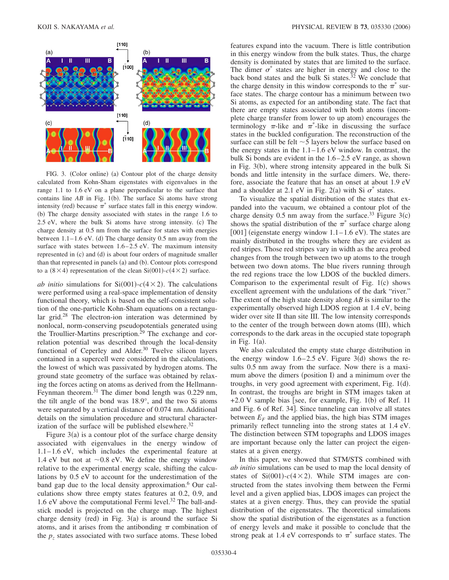

FIG. 3. (Color online) (a) Contour plot of the charge density calculated from Kohn-Sham eigenstates with eigenvalues in the range 1.1 to 1.6 eV on a plane perpendicular to the surface that contains line  $AB$  in Fig. 1(b). The surface Si atoms have strong intensity (red) because  $\pi^*$  surface states fall in this energy window. (b) The charge density associated with states in the range 1.6 to 2.5 eV, where the bulk Si atoms have strong intensity. (c) The charge density at 0.5 nm from the surface for states with energies between  $1.1 - 1.6$  eV. (d) The charge density 0.5 nm away from the surface with states between 1.6–2.5 eV. The maximum intensity represented in (c) and (d) is about four orders of magnitude smaller than that represented in panels (a) and (b). Contour plots correspond to a  $(8 \times 4)$  representation of the clean Si $(001)$ - $c(4 \times 2)$  surface.

*ab initio* simulations for  $Si(001) - c(4 \times 2)$ . The calculations were performed using a real-space implementation of density functional theory, which is based on the self-consistent solution of the one-particle Kohn-Sham equations on a rectangular grid.<sup>28</sup> The electron-ion interation was determined by nonlocal, norm-conserving pseudopotentials generated using the Troullier-Martins prescription.<sup>29</sup> The exchange and correlation potential was described through the local-density functional of Ceperley and Alder.<sup>30</sup> Twelve silicon layers contained in a supercell were considered in the calculations, the lowest of which was passivated by hydrogen atoms. The ground state geometry of the surface was obtained by relaxing the forces acting on atoms as derived from the Hellmann-Feynman theorem. $31$  The dimer bond length was 0.229 nm, the tilt angle of the bond was 18.9°, and the two Si atoms were separated by a vertical distance of 0.074 nm. Additional details on the simulation procedure and structural characterization of the surface will be published elsewhere.<sup>32</sup>

Figure  $3(a)$  is a contour plot of the surface charge density associated with eigenvalues in the energy window of 1.1–1.6 eV, which includes the experimental feature at 1.4 eV but not at  $\sim 0.8$  eV. We define the energy window relative to the experimental energy scale, shifting the calculations by 0.5 eV to account for the underestimation of the band gap due to the local density approximation.<sup>6</sup> Our calculations show three empty states features at 0.2, 0.9, and 1.6 eV above the computational Fermi level.<sup>32</sup> The ball-andstick model is projected on the charge map. The highest charge density (red) in Fig.  $3(a)$  is around the surface Si atoms, and it arises from the antibonding  $\pi$  combination of the  $p<sub>z</sub>$  states associated with two surface atoms. These lobed

features expand into the vacuum. There is little contribution in this energy window from the bulk states. Thus, the charge density is dominated by states that are limited to the surface. The dimer  $\sigma^*$  states are higher in energy and close to the back bond states and the bulk Si states.<sup>32</sup> We conclude that the charge density in this window corresponds to the  $\pi^*$  surface states. The charge contour has a minimum between two Si atoms, as expected for an antibonding state. The fact that there are empty states associated with both atoms (incomplete charge transfer from lower to up atom) encourages the terminology  $\pi$ -like and  $\pi^*$ -like in discussing the surface states in the buckled configuration. The reconstruction of the surface can still be felt  $\sim$  5 layers below the surface based on the energy states in the  $1.1-1.6$  eV window. In contrast, the bulk Si bonds are evident in the 1.6–2.5 eV range, as shown in Fig. 3(b), where strong intensity appeared in the bulk Si bonds and little intensity in the surface dimers. We, therefore, associate the feature that has an onset at about 1.9 eV and a shoulder at 2.1 eV in Fig. 2(a) with Si  $\sigma^*$  states.

To visualize the spatial distribution of the states that expanded into the vacuum, we obtained a contour plot of the charge density  $0.5$  nm away from the surface.<sup>33</sup> Figure 3(c) shows the spatial distribution of the  $\pi^*$  surface charge along [001] (eigenstate energy window  $1.1-1.6$  eV). The states are mainly distributed in the troughs where they are evident as red stripes. Those red stripes vary in width as the area probed changes from the trough between two up atoms to the trough between two down atoms. The blue rivers running through the red regions trace the low LDOS of the buckled dimers. Comparison to the experimental result of Fig. 1(c) shows excellent agreement with the undulations of the dark "river." The extent of the high state density along *AB* is similar to the experimentally observed high LDOS region at 1.4 eV, being wider over site II than site III. The low intensity corresponds to the center of the trough between down atoms (III), which corresponds to the dark areas in the occupied state topograph in Fig.  $1(a)$ .

We also calculated the empty state charge distribution in the energy window  $1.6-2.5$  eV. Figure 3(d) shows the results 0.5 nm away from the surface. Now there is a maximum above the dimers (position I) and a minimum over the troughs, in very good agreement with experiment, Fig. 1(d). In contrast, the troughs are bright in STM images taken at  $+2.0$  V sample bias [see, for example, Fig. 1(b) of Ref. 11 and Fig. 6 of Ref. 34. Since tunneling can involve all states between  $E_F$  and the applied bias, the high bias STM images primarily reflect tunneling into the strong states at 1.4 eV. The distinction between STM topographs and LDOS images are important because only the latter can project the eigenstates at a given energy.

In this paper, we showed that STM/STS combined with *ab initio* simulations can be used to map the local density of states of  $Si(001) - c(4 \times 2)$ . While STM images are constructed from the states involving them between the Fermi level and a given applied bias, LDOS images can project the states at a given energy. Thus, they can provide the spatial distribution of the eigenstates. The theoretical simulations show the spatial distribution of the eigenstates as a function of energy levels and make it possible to conclude that the strong peak at 1.4 eV corresponds to  $\pi^*$  surface states. The